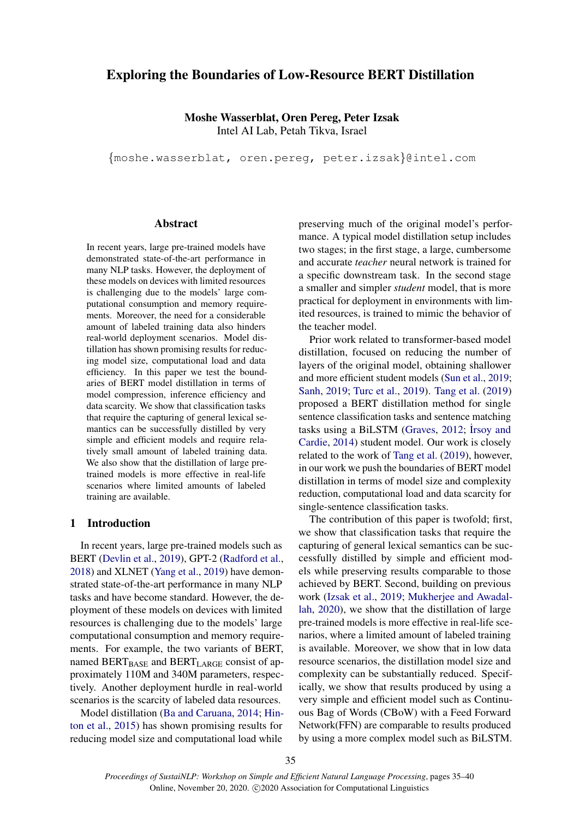# <span id="page-0-0"></span>Exploring the Boundaries of Low-Resource BERT Distillation

Moshe Wasserblat, Oren Pereg, Peter Izsak Intel AI Lab, Petah Tikva, Israel

{moshe.wasserblat, oren.pereg, peter.izsak}@intel.com

# **Abstract**

In recent years, large pre-trained models have demonstrated state-of-the-art performance in many NLP tasks. However, the deployment of these models on devices with limited resources is challenging due to the models' large computational consumption and memory requirements. Moreover, the need for a considerable amount of labeled training data also hinders real-world deployment scenarios. Model distillation has shown promising results for reducing model size, computational load and data efficiency. In this paper we test the boundaries of BERT model distillation in terms of model compression, inference efficiency and data scarcity. We show that classification tasks that require the capturing of general lexical semantics can be successfully distilled by very simple and efficient models and require relatively small amount of labeled training data. We also show that the distillation of large pretrained models is more effective in real-life scenarios where limited amounts of labeled training are available.

## 1 Introduction

In recent years, large pre-trained models such as BERT [\(Devlin et al.,](#page-4-0) [2019\)](#page-4-0), GPT-2 [\(Radford et al.,](#page-4-1) [2018\)](#page-4-1) and XLNET [\(Yang et al.,](#page-5-0) [2019\)](#page-5-0) have demonstrated state-of-the-art performance in many NLP tasks and have become standard. However, the deployment of these models on devices with limited resources is challenging due to the models' large computational consumption and memory requirements. For example, the two variants of BERT, named BERT<sub>BASE</sub> and BERT<sub>LARGE</sub> consist of approximately 110M and 340M parameters, respectively. Another deployment hurdle in real-world scenarios is the scarcity of labeled data resources.

Model distillation [\(Ba and Caruana,](#page-4-2) [2014;](#page-4-2) [Hin](#page-4-3)[ton et al.,](#page-4-3) [2015\)](#page-4-3) has shown promising results for reducing model size and computational load while

preserving much of the original model's performance. A typical model distillation setup includes two stages; in the first stage, a large, cumbersome and accurate *teacher* neural network is trained for a specific downstream task. In the second stage a smaller and simpler *student* model, that is more practical for deployment in environments with limited resources, is trained to mimic the behavior of the teacher model.

Prior work related to transformer-based model distillation, focused on reducing the number of layers of the original model, obtaining shallower and more efficient student models [\(Sun et al.,](#page-4-4) [2019;](#page-4-4) [Sanh,](#page-4-5) [2019;](#page-4-5) [Turc et al.,](#page-4-6) [2019\)](#page-4-6). [Tang et al.](#page-4-7) [\(2019\)](#page-4-7) proposed a BERT distillation method for single sentence classification tasks and sentence matching tasks using a BiLSTM [\(Graves,](#page-4-8) [2012;](#page-4-8) İrsoy and [Cardie,](#page-4-9) [2014\)](#page-4-9) student model. Our work is closely related to the work of [Tang et al.](#page-4-7) [\(2019\)](#page-4-7), however, in our work we push the boundaries of BERT model distillation in terms of model size and complexity reduction, computational load and data scarcity for single-sentence classification tasks.

The contribution of this paper is twofold; first, we show that classification tasks that require the capturing of general lexical semantics can be successfully distilled by simple and efficient models while preserving results comparable to those achieved by BERT. Second, building on previous work [\(Izsak et al.,](#page-4-10) [2019;](#page-4-10) [Mukherjee and Awadal](#page-4-11)[lah,](#page-4-11) [2020\)](#page-4-11), we show that the distillation of large pre-trained models is more effective in real-life scenarios, where a limited amount of labeled training is available. Moreover, we show that in low data resource scenarios, the distillation model size and complexity can be substantially reduced. Specifically, we show that results produced by using a very simple and efficient model such as Continuous Bag of Words (CBoW) with a Feed Forward Network(FFN) are comparable to results produced by using a more complex model such as BiLSTM.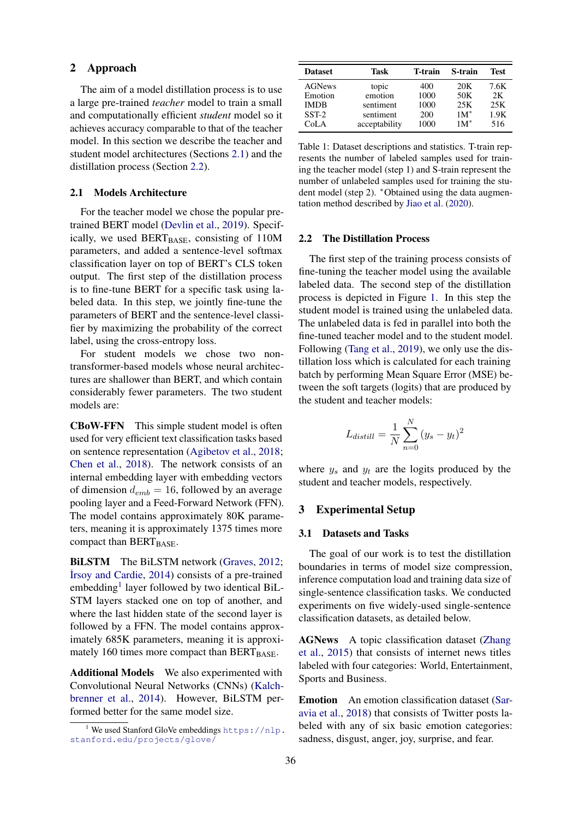## 2 Approach

The aim of a model distillation process is to use a large pre-trained *teacher* model to train a small and computationally efficient *student* model so it achieves accuracy comparable to that of the teacher model. In this section we describe the teacher and student model architectures (Sections [2.1\)](#page-1-0) and the distillation process (Section [2.2\)](#page-1-1).

# <span id="page-1-0"></span>2.1 Models Architecture

For the teacher model we chose the popular pretrained BERT model [\(Devlin et al.,](#page-4-0) [2019\)](#page-4-0). Specifically, we used BERT<sub>BASE</sub>, consisting of 110M parameters, and added a sentence-level softmax classification layer on top of BERT's CLS token output. The first step of the distillation process is to fine-tune BERT for a specific task using labeled data. In this step, we jointly fine-tune the parameters of BERT and the sentence-level classifier by maximizing the probability of the correct label, using the cross-entropy loss.

For student models we chose two nontransformer-based models whose neural architectures are shallower than BERT, and which contain considerably fewer parameters. The two student models are:

CBoW-FFN This simple student model is often used for very efficient text classification tasks based on sentence representation [\(Agibetov et al.,](#page-4-12) [2018;](#page-4-12) [Chen et al.,](#page-4-13) [2018\)](#page-4-13). The network consists of an internal embedding layer with embedding vectors of dimension  $d_{emb} = 16$ , followed by an average pooling layer and a Feed-Forward Network (FFN). The model contains approximately 80K parameters, meaning it is approximately 1375 times more compact than BERT<sub>BASE</sub>.

BiLSTM The BiLSTM network [\(Graves,](#page-4-8) [2012;](#page-4-8) [˙Irsoy and Cardie,](#page-4-9) [2014\)](#page-4-9) consists of a pre-trained embedding<sup>[1](#page-0-0)</sup> layer followed by two identical BiL-STM layers stacked one on top of another, and where the last hidden state of the second layer is followed by a FFN. The model contains approximately 685K parameters, meaning it is approximately 160 times more compact than BERT<sub>BASE</sub>.

Additional Models We also experimented with Convolutional Neural Networks (CNNs) [\(Kalch](#page-4-14)[brenner et al.,](#page-4-14) [2014\)](#page-4-14). However, BiLSTM performed better for the same model size.

<span id="page-1-2"></span>

| <b>Dataset</b> | Task          | T-train | S-train         | Test |
|----------------|---------------|---------|-----------------|------|
| <b>AGNews</b>  | topic         | 400     | 20 <sub>K</sub> | 7.6K |
| Emotion        | emotion       | 1000    | 50K             | 2K   |
| <b>IMDB</b>    | sentiment     | 1000    | 25K             | 25K  |
| $SST-2$        | sentiment     | 200     | $1M^*$          | 1.9K |
| CoLA           | acceptability | 1000    | $1M^*$          | 516  |

Table 1: Dataset descriptions and statistics. T-train represents the number of labeled samples used for training the teacher model (step 1) and S-train represent the number of unlabeled samples used for training the student model (step 2). <sup>∗</sup>Obtained using the data augmentation method described by [Jiao et al.](#page-4-15) [\(2020\)](#page-4-15).

## 2.2 The Distillation Process

The first step of the training process consists of fine-tuning the teacher model using the available labeled data. The second step of the distillation process is depicted in Figure [1.](#page-2-0) In this step the student model is trained using the unlabeled data. The unlabeled data is fed in parallel into both the fine-tuned teacher model and to the student model. Following [\(Tang et al.,](#page-4-7) [2019\)](#page-4-7), we only use the distillation loss which is calculated for each training batch by performing Mean Square Error (MSE) between the soft targets (logits) that are produced by the student and teacher models:

$$
L_{distill} = \frac{1}{N} \sum_{n=0}^{N} (y_s - y_t)^2
$$

where  $y_s$  and  $y_t$  are the logits produced by the student and teacher models, respectively.

### 3 Experimental Setup

#### 3.1 Datasets and Tasks

The goal of our work is to test the distillation boundaries in terms of model size compression, inference computation load and training data size of single-sentence classification tasks. We conducted experiments on five widely-used single-sentence classification datasets, as detailed below.

AGNews A topic classification dataset [\(Zhang](#page-5-1) [et al.,](#page-5-1) [2015\)](#page-5-1) that consists of internet news titles labeled with four categories: World, Entertainment, Sports and Business.

Emotion An emotion classification dataset [\(Sar](#page-4-16)[avia et al.,](#page-4-16) [2018\)](#page-4-16) that consists of Twitter posts labeled with any of six basic emotion categories: sadness, disgust, anger, joy, surprise, and fear.

<span id="page-1-1"></span><sup>&</sup>lt;sup>1</sup> We used Stanford GloVe embeddings [https://nlp.](https://nlp.stanford.edu/projects/glove/) [stanford.edu/projects/glove/](https://nlp.stanford.edu/projects/glove/)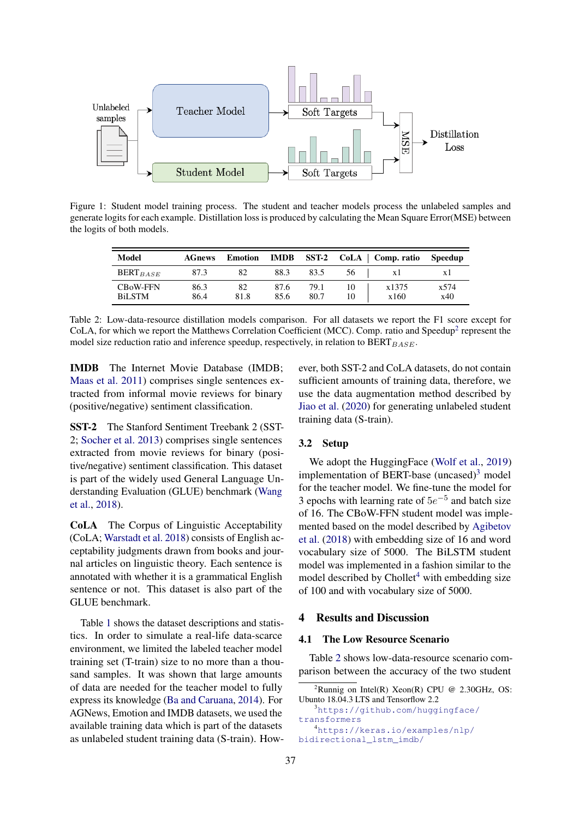<span id="page-2-0"></span>

<span id="page-2-1"></span>Figure 1: Student model training process. The student and teacher models process the unlabeled samples and generate logits for each example. Distillation loss is produced by calculating the Mean Square Error(MSE) between the logits of both models.

| Model                            | <b>AGnews</b> | <b>Emotion</b> | <b>IMDB</b>  | $SST-2$      |          | $CoLA$   Comp. ratio | Speedup     |
|----------------------------------|---------------|----------------|--------------|--------------|----------|----------------------|-------------|
| $BERT_{BASE}$                    | 87.3          | 82             | 88.3         | 83.5         | 56       | Χl                   | Χl          |
| <b>CBoW-FFN</b><br><b>BiLSTM</b> | 86.3<br>86.4  | 82<br>81.8     | 87.6<br>85.6 | 79.1<br>80.7 | 10<br>10 | x1375<br>x160        | x574<br>x40 |

Table 2: Low-data-resource distillation models comparison. For all datasets we report the F1 score except for CoLA, for which we report the Matthews Correlation Coefficient (MCC). Comp. ratio and Speedup<sup>[2](#page-0-0)</sup> represent the model size reduction ratio and inference speedup, respectively, in relation to  $BERT_{BASE}$ .

IMDB The Internet Movie Database (IMDB; [Maas et al.](#page-4-17) [2011\)](#page-4-17) comprises single sentences extracted from informal movie reviews for binary (positive/negative) sentiment classification.

SST-2 The Stanford Sentiment Treebank 2 (SST-2; [Socher et al.](#page-4-18) [2013\)](#page-4-18) comprises single sentences extracted from movie reviews for binary (positive/negative) sentiment classification. This dataset is part of the widely used General Language Understanding Evaluation (GLUE) benchmark [\(Wang](#page-4-19) [et al.,](#page-4-19) [2018\)](#page-4-19).

CoLA The Corpus of Linguistic Acceptability (CoLA; [Warstadt et al.](#page-5-2) [2018\)](#page-5-2) consists of English acceptability judgments drawn from books and journal articles on linguistic theory. Each sentence is annotated with whether it is a grammatical English sentence or not. This dataset is also part of the GLUE benchmark.

Table [1](#page-1-2) shows the dataset descriptions and statistics. In order to simulate a real-life data-scarce environment, we limited the labeled teacher model training set (T-train) size to no more than a thousand samples. It was shown that large amounts of data are needed for the teacher model to fully express its knowledge [\(Ba and Caruana,](#page-4-2) [2014\)](#page-4-2). For AGNews, Emotion and IMDB datasets, we used the available training data which is part of the datasets as unlabeled student training data (S-train). However, both SST-2 and CoLA datasets, do not contain sufficient amounts of training data, therefore, we use the data augmentation method described by [Jiao et al.](#page-4-15) [\(2020\)](#page-4-15) for generating unlabeled student training data (S-train).

# 3.2 Setup

We adopt the HuggingFace [\(Wolf et al.,](#page-5-3) [2019\)](#page-5-3) implementation of BERT-base (uncased) $3 \text{ model}$  $3 \text{ model}$ for the teacher model. We fine-tune the model for 3 epochs with learning rate of  $5e^{-5}$  and batch size of 16. The CBoW-FFN student model was implemented based on the model described by [Agibetov](#page-4-12) [et al.](#page-4-12) [\(2018\)](#page-4-12) with embedding size of 16 and word vocabulary size of 5000. The BiLSTM student model was implemented in a fashion similar to the model described by  $Chollet<sup>4</sup>$  $Chollet<sup>4</sup>$  $Chollet<sup>4</sup>$  with embedding size of 100 and with vocabulary size of 5000.

# 4 Results and Discussion

## 4.1 The Low Resource Scenario

Table [2](#page-2-1) shows low-data-resource scenario comparison between the accuracy of the two student

```
4https://keras.io/examples/nlp/
bidirectional_lstm_imdb/
```
<sup>&</sup>lt;sup>2</sup>Runnig on Intel(R) Xeon(R) CPU @ 2.30GHz, OS: Ubunto 18.04.3 LTS and Tensorflow 2.2 3[https://github.com/huggingface/](https://github.com/huggingface/transformers) [transformers](https://github.com/huggingface/transformers)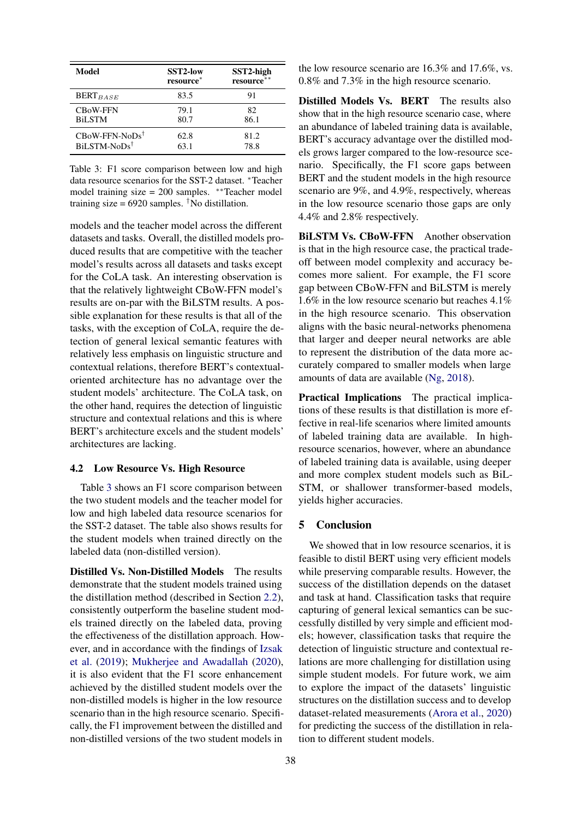<span id="page-3-0"></span>

| Model                     | <b>SST2-low</b><br>resource* | SST2-high<br>resource** |
|---------------------------|------------------------------|-------------------------|
| $BERT_{BASE}$             | 83.5                         | 91                      |
| <b>CBoW-FFN</b>           | 79.1                         | 82                      |
| <b>BiLSTM</b>             | 80.7                         | 86.1                    |
| $CBoW-FFN-NoDs^{\dagger}$ | 62.8                         | 81.2                    |
| BiLSTM-NoDs <sup>†</sup>  | 63.1                         | 78.8                    |

Table 3: F1 score comparison between low and high data resource scenarios for the SST-2 dataset. <sup>∗</sup>Teacher model training size = 200 samples. ∗∗Teacher model training size =  $6920$  samples. <sup>†</sup>No distillation.

models and the teacher model across the different datasets and tasks. Overall, the distilled models produced results that are competitive with the teacher model's results across all datasets and tasks except for the CoLA task. An interesting observation is that the relatively lightweight CBoW-FFN model's results are on-par with the BiLSTM results. A possible explanation for these results is that all of the tasks, with the exception of CoLA, require the detection of general lexical semantic features with relatively less emphasis on linguistic structure and contextual relations, therefore BERT's contextualoriented architecture has no advantage over the student models' architecture. The CoLA task, on the other hand, requires the detection of linguistic structure and contextual relations and this is where BERT's architecture excels and the student models' architectures are lacking.

# 4.2 Low Resource Vs. High Resource

Table [3](#page-3-0) shows an F1 score comparison between the two student models and the teacher model for low and high labeled data resource scenarios for the SST-2 dataset. The table also shows results for the student models when trained directly on the labeled data (non-distilled version).

Distilled Vs. Non-Distilled Models The results demonstrate that the student models trained using the distillation method (described in Section [2.2\)](#page-1-1), consistently outperform the baseline student models trained directly on the labeled data, proving the effectiveness of the distillation approach. However, and in accordance with the findings of [Izsak](#page-4-10) [et al.](#page-4-10) [\(2019\)](#page-4-10); [Mukherjee and Awadallah](#page-4-11) [\(2020\)](#page-4-11), it is also evident that the F1 score enhancement achieved by the distilled student models over the non-distilled models is higher in the low resource scenario than in the high resource scenario. Specifically, the F1 improvement between the distilled and non-distilled versions of the two student models in

the low resource scenario are 16.3% and 17.6%, vs. 0.8% and 7.3% in the high resource scenario.

Distilled Models Vs. BERT The results also show that in the high resource scenario case, where an abundance of labeled training data is available, BERT's accuracy advantage over the distilled models grows larger compared to the low-resource scenario. Specifically, the F1 score gaps between BERT and the student models in the high resource scenario are 9%, and 4.9%, respectively, whereas in the low resource scenario those gaps are only 4.4% and 2.8% respectively.

BiLSTM Vs. CBoW-FFN Another observation is that in the high resource case, the practical tradeoff between model complexity and accuracy becomes more salient. For example, the F1 score gap between CBoW-FFN and BiLSTM is merely 1.6% in the low resource scenario but reaches 4.1% in the high resource scenario. This observation aligns with the basic neural-networks phenomena that larger and deeper neural networks are able to represent the distribution of the data more accurately compared to smaller models when large amounts of data are available [\(Ng,](#page-4-20) [2018\)](#page-4-20).

Practical Implications The practical implications of these results is that distillation is more effective in real-life scenarios where limited amounts of labeled training data are available. In highresource scenarios, however, where an abundance of labeled training data is available, using deeper and more complex student models such as BiL-STM, or shallower transformer-based models, yields higher accuracies.

# 5 Conclusion

We showed that in low resource scenarios, it is feasible to distil BERT using very efficient models while preserving comparable results. However, the success of the distillation depends on the dataset and task at hand. Classification tasks that require capturing of general lexical semantics can be successfully distilled by very simple and efficient models; however, classification tasks that require the detection of linguistic structure and contextual relations are more challenging for distillation using simple student models. For future work, we aim to explore the impact of the datasets' linguistic structures on the distillation success and to develop dataset-related measurements [\(Arora et al.,](#page-4-21) [2020\)](#page-4-21) for predicting the success of the distillation in relation to different student models.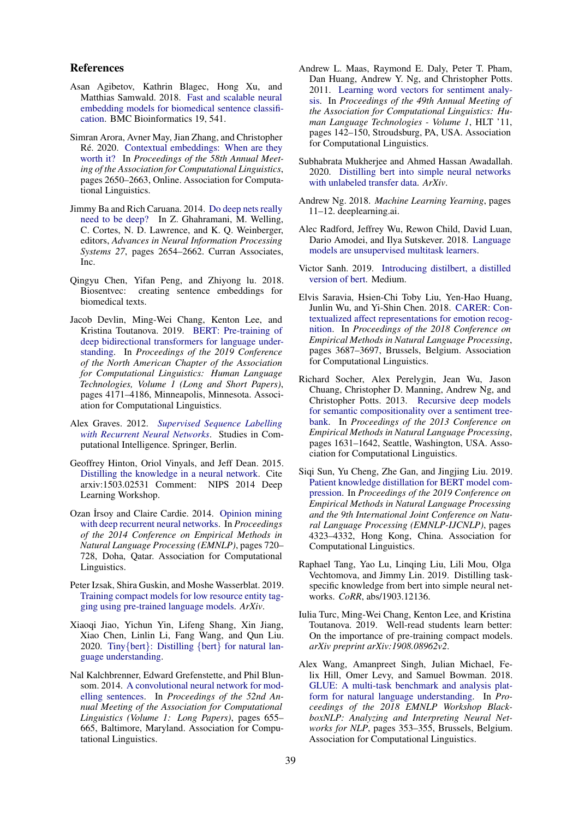## References

- <span id="page-4-12"></span>Asan Agibetov, Kathrin Blagec, Hong Xu, and Matthias Samwald. 2018. [Fast and scalable neural](https://doi.org/10.1186/s12859-018-2496-4) [embedding models for biomedical sentence classifi](https://doi.org/10.1186/s12859-018-2496-4)[cation.](https://doi.org/10.1186/s12859-018-2496-4) BMC Bioinformatics 19, 541.
- <span id="page-4-21"></span>Simran Arora, Avner May, Jian Zhang, and Christopher Ré. 2020. [Contextual embeddings: When are they](https://www.aclweb.org/anthology/2020.acl-main.236) [worth it?](https://www.aclweb.org/anthology/2020.acl-main.236) In *Proceedings of the 58th Annual Meeting of the Association for Computational Linguistics*, pages 2650–2663, Online. Association for Computational Linguistics.
- <span id="page-4-2"></span>Jimmy Ba and Rich Caruana. 2014. [Do deep nets really](http://papers.nips.cc/paper/5484-do-deep-nets-really-need-to-be-deep.pdf) [need to be deep?](http://papers.nips.cc/paper/5484-do-deep-nets-really-need-to-be-deep.pdf) In Z. Ghahramani, M. Welling, C. Cortes, N. D. Lawrence, and K. Q. Weinberger, editors, *Advances in Neural Information Processing Systems 27*, pages 2654–2662. Curran Associates, Inc.
- <span id="page-4-13"></span>Qingyu Chen, Yifan Peng, and Zhiyong lu. 2018. Biosentvec: creating sentence embeddings for biomedical texts.
- <span id="page-4-0"></span>Jacob Devlin, Ming-Wei Chang, Kenton Lee, and Kristina Toutanova. 2019. [BERT: Pre-training of](https://doi.org/10.18653/v1/N19-1423) [deep bidirectional transformers for language under](https://doi.org/10.18653/v1/N19-1423)[standing.](https://doi.org/10.18653/v1/N19-1423) In *Proceedings of the 2019 Conference of the North American Chapter of the Association for Computational Linguistics: Human Language Technologies, Volume 1 (Long and Short Papers)*, pages 4171–4186, Minneapolis, Minnesota. Association for Computational Linguistics.
- <span id="page-4-8"></span>Alex Graves. 2012. *[Supervised Sequence Labelling](https://doi.org/10.1007/978-3-642-24797-2) [with Recurrent Neural Networks](https://doi.org/10.1007/978-3-642-24797-2)*. Studies in Computational Intelligence. Springer, Berlin.
- <span id="page-4-3"></span>Geoffrey Hinton, Oriol Vinyals, and Jeff Dean. 2015. [Distilling the knowledge in a neural network.](http://arxiv.org/abs/1503.02531) Cite arxiv:1503.02531 Comment: NIPS 2014 Deep Learning Workshop.
- <span id="page-4-9"></span>Ozan İrsoy and Claire Cardie. 2014. [Opinion mining](https://doi.org/10.3115/v1/D14-1080) [with deep recurrent neural networks.](https://doi.org/10.3115/v1/D14-1080) In *Proceedings of the 2014 Conference on Empirical Methods in Natural Language Processing (EMNLP)*, pages 720– 728, Doha, Qatar. Association for Computational Linguistics.
- <span id="page-4-10"></span>Peter Izsak, Shira Guskin, and Moshe Wasserblat. 2019. [Training compact models for low resource entity tag](https://arxiv.org/abs/1910.06294)[ging using pre-trained language models.](https://arxiv.org/abs/1910.06294) *ArXiv*.
- <span id="page-4-15"></span>Xiaoqi Jiao, Yichun Yin, Lifeng Shang, Xin Jiang, Xiao Chen, Linlin Li, Fang Wang, and Qun Liu. 2020. Tiny{bert}: Distilling {bert} [for natural lan](https://openreview.net/forum?id=rJx0Q6EFPB)[guage understanding.](https://openreview.net/forum?id=rJx0Q6EFPB)
- <span id="page-4-14"></span>Nal Kalchbrenner, Edward Grefenstette, and Phil Blunsom. 2014. [A convolutional neural network for mod](https://doi.org/10.3115/v1/P14-1062)[elling sentences.](https://doi.org/10.3115/v1/P14-1062) In *Proceedings of the 52nd Annual Meeting of the Association for Computational Linguistics (Volume 1: Long Papers)*, pages 655– 665, Baltimore, Maryland. Association for Computational Linguistics.
- <span id="page-4-17"></span>Andrew L. Maas, Raymond E. Daly, Peter T. Pham, Dan Huang, Andrew Y. Ng, and Christopher Potts. 2011. [Learning word vectors for sentiment analy](http://dl.acm.org/citation.cfm?id=2002472.2002491)[sis.](http://dl.acm.org/citation.cfm?id=2002472.2002491) In *Proceedings of the 49th Annual Meeting of the Association for Computational Linguistics: Human Language Technologies - Volume 1*, HLT '11, pages 142–150, Stroudsburg, PA, USA. Association for Computational Linguistics.
- <span id="page-4-11"></span>Subhabrata Mukherjee and Ahmed Hassan Awadallah. 2020. [Distilling bert into simple neural networks](https://arxiv.org/pdf/1910.01769.pdf) [with unlabeled transfer data.](https://arxiv.org/pdf/1910.01769.pdf) *ArXiv*.
- <span id="page-4-20"></span>Andrew Ng. 2018. *Machine Learning Yearning*, pages 11–12. deeplearning.ai.
- <span id="page-4-1"></span>Alec Radford, Jeffrey Wu, Rewon Child, David Luan, Dario Amodei, and Ilya Sutskever. 2018. [Language](https://d4mucfpksywv.cloudfront.net/better-language-models/language-models.pdf) [models are unsupervised multitask learners.](https://d4mucfpksywv.cloudfront.net/better-language-models/language-models.pdf)
- <span id="page-4-5"></span>Victor Sanh. 2019. [Introducing distilbert, a distilled](https://medium.com/huggingface/distilbert-8cf3380435b5) [version of bert.](https://medium.com/huggingface/distilbert-8cf3380435b5) Medium.
- <span id="page-4-16"></span>Elvis Saravia, Hsien-Chi Toby Liu, Yen-Hao Huang, Junlin Wu, and Yi-Shin Chen. 2018. [CARER: Con](https://doi.org/10.18653/v1/D18-1404)[textualized affect representations for emotion recog](https://doi.org/10.18653/v1/D18-1404)[nition.](https://doi.org/10.18653/v1/D18-1404) In *Proceedings of the 2018 Conference on Empirical Methods in Natural Language Processing*, pages 3687–3697, Brussels, Belgium. Association for Computational Linguistics.
- <span id="page-4-18"></span>Richard Socher, Alex Perelygin, Jean Wu, Jason Chuang, Christopher D. Manning, Andrew Ng, and Christopher Potts. 2013. [Recursive deep models](https://www.aclweb.org/anthology/D13-1170) [for semantic compositionality over a sentiment tree](https://www.aclweb.org/anthology/D13-1170)[bank.](https://www.aclweb.org/anthology/D13-1170) In *Proceedings of the 2013 Conference on Empirical Methods in Natural Language Processing*, pages 1631–1642, Seattle, Washington, USA. Association for Computational Linguistics.
- <span id="page-4-4"></span>Siqi Sun, Yu Cheng, Zhe Gan, and Jingjing Liu. 2019. [Patient knowledge distillation for BERT model com](https://doi.org/10.18653/v1/D19-1441)[pression.](https://doi.org/10.18653/v1/D19-1441) In *Proceedings of the 2019 Conference on Empirical Methods in Natural Language Processing and the 9th International Joint Conference on Natural Language Processing (EMNLP-IJCNLP)*, pages 4323–4332, Hong Kong, China. Association for Computational Linguistics.
- <span id="page-4-7"></span>Raphael Tang, Yao Lu, Linqing Liu, Lili Mou, Olga Vechtomova, and Jimmy Lin. 2019. Distilling taskspecific knowledge from bert into simple neural networks. *CoRR*, abs/1903.12136.
- <span id="page-4-6"></span>Iulia Turc, Ming-Wei Chang, Kenton Lee, and Kristina Toutanova. 2019. Well-read students learn better: On the importance of pre-training compact models. *arXiv preprint arXiv:1908.08962v2*.
- <span id="page-4-19"></span>Alex Wang, Amanpreet Singh, Julian Michael, Felix Hill, Omer Levy, and Samuel Bowman. 2018. [GLUE: A multi-task benchmark and analysis plat](https://doi.org/10.18653/v1/W18-5446)[form for natural language understanding.](https://doi.org/10.18653/v1/W18-5446) In *Proceedings of the 2018 EMNLP Workshop BlackboxNLP: Analyzing and Interpreting Neural Networks for NLP*, pages 353–355, Brussels, Belgium. Association for Computational Linguistics.